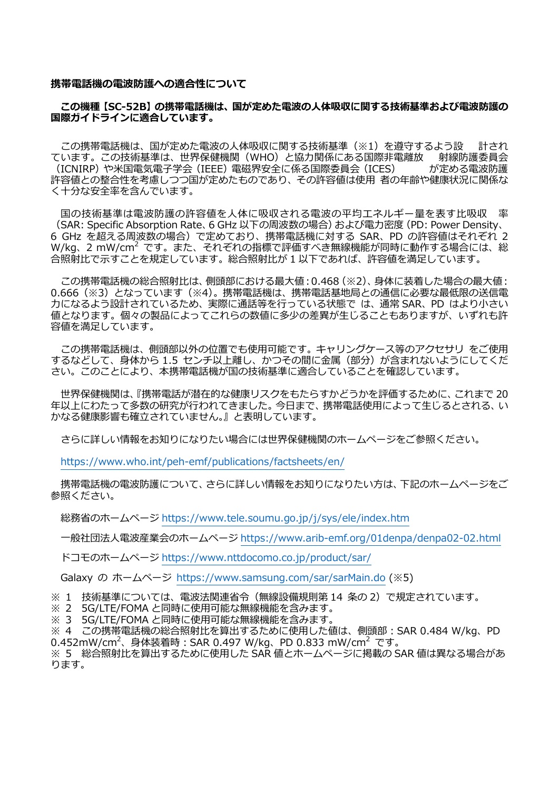#### **携帯電話機の電波防護への適合性について**

### **この機種【SC-52B】の携帯電話機は、国が定めた電波の人体吸収に関する技術基準および電波防護の 国際ガイドラインに適合しています。**

この携帯電話機は、国が定めた電波の人体吸収に関する技術基準(※1)を遵守するよう設 計され<br>います。この技術基準は、世界保健機関(WHO)と協力関係にある国際非電離放 射線防護委員会 ています。この技術基準は、世界保健機関(WHO)と協力関係にある国際非電離放 射線防護委員会<br>(ICNIRP)や米国電気電子学会(IEEE)電磁界安全に係る国際委員会(ICES) が定める電波防護 (ICNIRP)や米国電気電子学会 (IEEE)電磁界安全に係る国際委員会 (ICES) 許容値との整合性を考慮しつつ国が定めたものであり、その許容値は使用 者の年齢や健康状況に関係な く十分な安全率を含んでいます。

国の技術基準は電波防護の許容値を人体に吸収される電波の平均エネルギー量を表す比吸収 (SAR: Specific Absorption Rate、6 GHz 以下の周波数の場合)および電力密度(PD: Power Density、 6 GHz を超える周波数の場合)で定めており、 携帯電話機に対する SAR、PD の許容値はそれぞれ 2 ことは、こことのディスペンション、ここと、Dong Hampsになっているのは、TD の計音値は C410412<br>W/kg、2 mW/cm<sup>2</sup> です。また、それぞれの指標で評価すべき無線機能が同時に動作する場合には、総 合照射比で示すことを規定しています。総合照射比が 1 以下であれば、許容値を満足しています。

この携帯電話機の総合照射比は、側頭部における最大値:0.468(※2)、身体に装着した場合の最大値: 0.666(※3)となっています(※4)。携帯電話機は、携帯電話基地局との通信に必要な最低限の送信電 力になるよう設計されているため、実際に通話等を行っている状態で は、通常 SAR、PD はより小さい 値となります。個々の製品によってこれらの数値に多少の差異が生じることもありますが、いずれも許 容値を満足しています。

この携帯電話機は、側頭部以外の位置でも使用可能です。キャリングケース等のアクセサリ をご使用 するなどして、身体から 1.5 センチ以上離し、かつその間に金属 (部分) が含まれないようにしてくだ さい。このことにより、本携帯電話機が国の技術基準に適合していることを確認しています。

世界保健機関は、『携帯電話が潜在的な健康リスクをもたらすかどうかを評価するために、これまで 20 年以上にわたって多数の研究が行われてきました。今日まで、携帯電話使用によって生じるとされる、い かなる健康影響も確立されていません。』と表明しています。

さらに詳しい情報をお知りになりたい場合には世界保健機関のホームページをご参照ください。

<https://www.who.int/peh-emf/publications/factsheets/en/>

携帯電話機の電波防護について、さらに詳しい情報をお知りになりたい方は、下記のホームページをご 参照ください。

総務省のホームページ <https://www.tele.soumu.go.jp/j/sys/ele/index.htm>

一般社団法人電波産業会のホームページ <https://www.arib-emf.org/01denpa/denpa02-02.html>

ドコモのホームページ <https://www.nttdocomo.co.jp/product/sar/>

Galaxy の ホームページ <https://www.samsung.com/sar/sarMain.do>(※5)

※ 1 技術基準については、電波法関連省令(無線設備規則第 14 条の 2)で規定されています。

※ 2 5G/LTE/FOMA と同時に使用可能な無線機能を含みます。<br>※ 3 5G/LTE/FOMA と同時に使用可能な無線機能を含みます。

※ 3 5G/LTE/FOMA と同時に使用可能な無線機能を含みます。

※ 4 この携帯電話機の総合照射比を算出するために使用した値は、側頭部:SAR 0.484 W/kg、PD 0.452mW/cm2 、身体装着時:SAR 0.497 W/kg、PD 0.833 mW/cm<sup>2</sup> です。

※ 5 総合照射比を算出するために使用した SAR 値とホームページに掲載の SAR 値は異なる場合があ ります。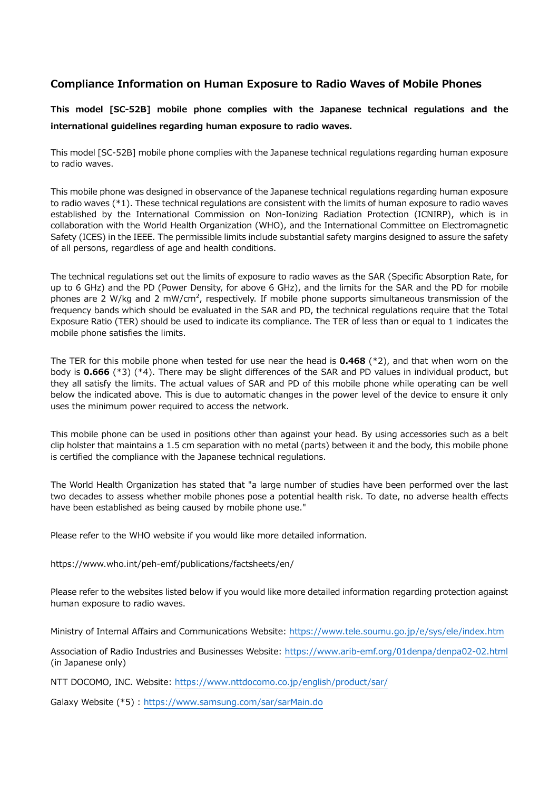# **Compliance Information on Human Exposure to Radio Waves of Mobile Phones**

**This model [SC-52B] mobile phone complies with the Japanese technical regulations and the international guidelines regarding human exposure to radio waves.**

This model [SC-52B] mobile phone complies with the Japanese technical regulations regarding human exposure to radio waves.

This mobile phone was designed in observance of the Japanese technical regulations regarding human exposure to radio waves (\*1). These technical regulations are consistent with the limits of human exposure to radio waves established by the International Commission on Non-Ionizing Radiation Protection (ICNIRP), which is in collaboration with the World Health Organization (WHO), and the International Committee on Electromagnetic Safety (ICES) in the IEEE. The permissible limits include substantial safety margins designed to assure the safety of all persons, regardless of age and health conditions.

The technical regulations set out the limits of exposure to radio waves as the SAR (Specific Absorption Rate, for up to 6 GHz) and the PD (Power Density, for above 6 GHz), and the limits for the SAR and the PD for mobile phones are 2 W/kg and 2 mW/cm<sup>2</sup>, respectively. If mobile phone supports simultaneous transmission of the frequency bands which should be evaluated in the SAR and PD, the technical regulations require that the Total Exposure Ratio (TER) should be used to indicate its compliance. The TER of less than or equal to 1 indicates the mobile phone satisfies the limits.

The TER for this mobile phone when tested for use near the head is **0.468** (\*2), and that when worn on the body is **0.666** (\*3) (\*4). There may be slight differences of the SAR and PD values in individual product, but they all satisfy the limits. The actual values of SAR and PD of this mobile phone while operating can be well below the indicated above. This is due to automatic changes in the power level of the device to ensure it only uses the minimum power required to access the network.

This mobile phone can be used in positions other than against your head. By using accessories such as a belt clip holster that maintains a 1.5 cm separation with no metal (parts) between it and the body, this mobile phone is certified the compliance with the Japanese technical regulations.

The World Health Organization has stated that "a large number of studies have been performed over the last two decades to assess whether mobile phones pose a potential health risk. To date, no adverse health effects have been established as being caused by mobile phone use."

Please refer to the WHO website if you would like more detailed information.

https://www.who.int/peh-emf/publications/factsheets/en/

Please refer to the websites listed below if you would like more detailed information regarding protection against human exposure to radio waves.

Ministry of Internal Affairs and Communications Website:<https://www.tele.soumu.go.jp/e/sys/ele/index.htm>

Association of Radio Industries and Businesses Website: <https://www.arib-emf.org/01denpa/denpa02-02.html> (in Japanese only)

NTT DOCOMO, INC. Website: <https://www.nttdocomo.co.jp/english/product/sar/>

Galaxy Website (\*5) :<https://www.samsung.com/sar/sarMain.do>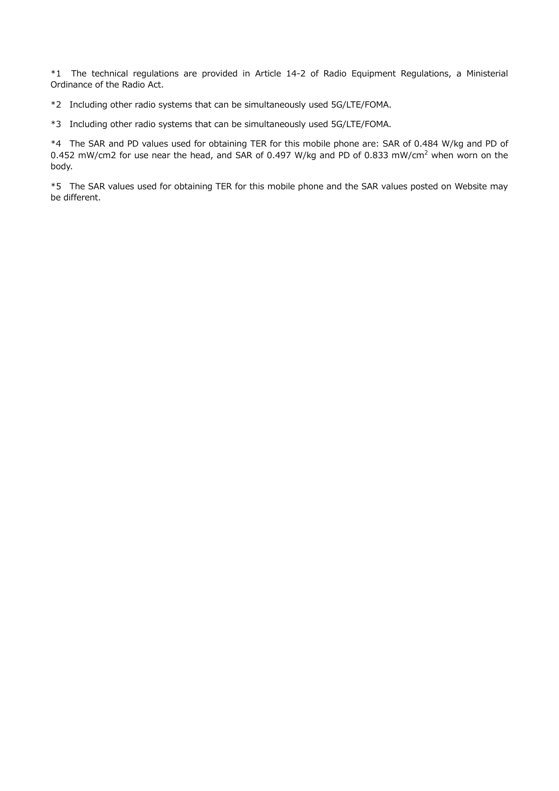\*1 The technical regulations are provided in Article 14-2 of Radio Equipment Regulations, a Ministerial Ordinance of the Radio Act.

\*2 Including other radio systems that can be simultaneously used 5G/LTE/FOMA.

\*3 Including other radio systems that can be simultaneously used 5G/LTE/FOMA.

\*4 The SAR and PD values used for obtaining TER for this mobile phone are: SAR of 0.484 W/kg and PD of 0.452 mW/cm2 for use near the head, and SAR of 0.497 W/kg and PD of 0.833 mW/cm<sup>2</sup> when worn on the body.

\*5 The SAR values used for obtaining TER for this mobile phone and the SAR values posted on Website may be different.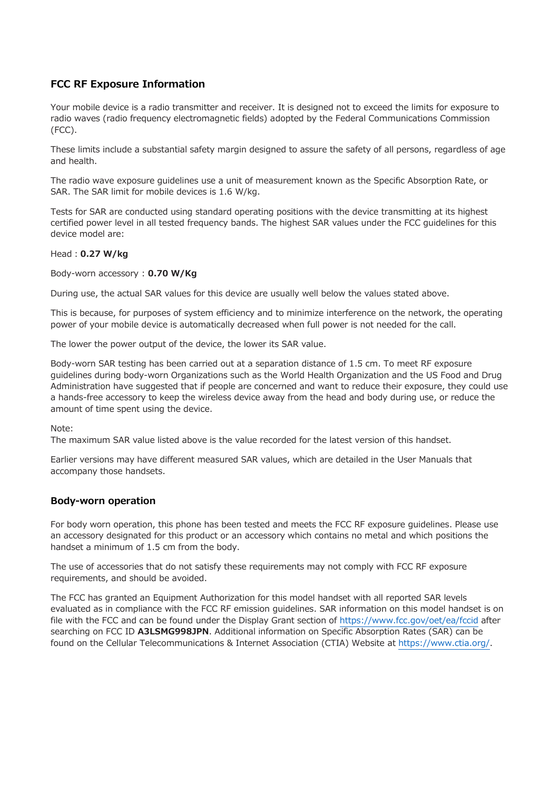## **FCC RF Exposure Information**

Your mobile device is a radio transmitter and receiver. It is designed not to exceed the limits for exposure to radio waves (radio frequency electromagnetic fields) adopted by the Federal Communications Commission (FCC).

These limits include a substantial safety margin designed to assure the safety of all persons, regardless of age and health.

The radio wave exposure guidelines use a unit of measurement known as the Specific Absorption Rate, or SAR. The SAR limit for mobile devices is 1.6 W/kg.

Tests for SAR are conducted using standard operating positions with the device transmitting at its highest certified power level in all tested frequency bands. The highest SAR values under the FCC guidelines for this device model are:

#### Head:**0.27 W/kg**

Body-worn accessory : **0.70 W/Kg**

During use, the actual SAR values for this device are usually well below the values stated above.

This is because, for purposes of system efficiency and to minimize interference on the network, the operating power of your mobile device is automatically decreased when full power is not needed for the call.

The lower the power output of the device, the lower its SAR value.

Body-worn SAR testing has been carried out at a separation distance of 1.5 cm. To meet RF exposure guidelines during body-worn Organizations such as the World Health Organization and the US Food and Drug Administration have suggested that if people are concerned and want to reduce their exposure, they could use a hands-free accessory to keep the wireless device away from the head and body during use, or reduce the amount of time spent using the device.

Note:

The maximum SAR value listed above is the value recorded for the latest version of this handset.

Earlier versions may have different measured SAR values, which are detailed in the User Manuals that accompany those handsets.

### **Body-worn operation**

For body worn operation, this phone has been tested and meets the FCC RF exposure guidelines. Please use an accessory designated for this product or an accessory which contains no metal and which positions the handset a minimum of 1.5 cm from the body.

The use of accessories that do not satisfy these requirements may not comply with FCC RF exposure requirements, and should be avoided.

The FCC has granted an Equipment Authorization for this model handset with all reported SAR levels evaluated as in compliance with the FCC RF emission guidelines. SAR information on this model handset is on file with the FCC and can be found under the Display Grant section of<https://www.fcc.gov/oet/ea/fccid> after searching on FCC ID **A3LSMG998JPN**. Additional information on Specific Absorption Rates (SAR) can be found on the Cellular Telecommunications & Internet Association (CTIA) Website at [https://www.ctia.org/.](https://www.ctia.org/)